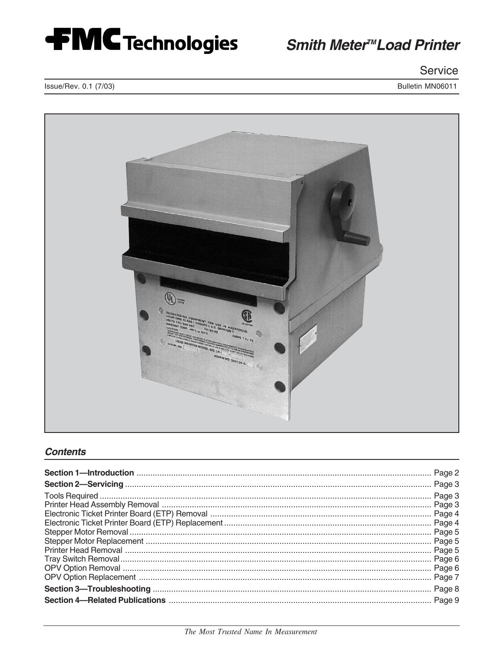

Service

Bulletin MN06011

Issue/Rev. 0.1 (7/03)



### **Contents**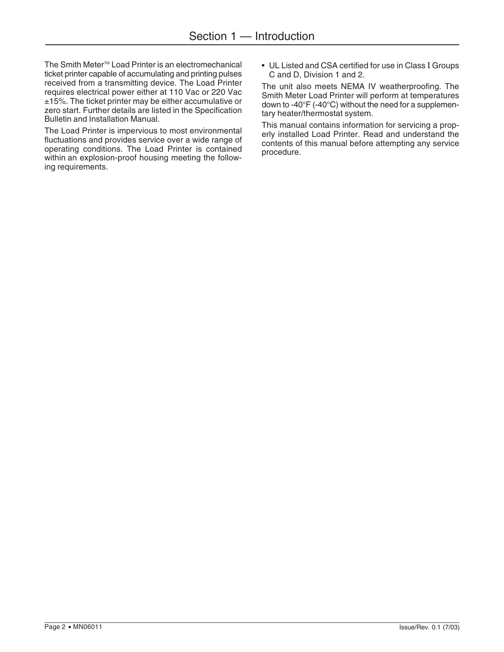The Smith Meter<sup>™</sup> Load Printer is an electromechanical ticket printer capable of accumulating and printing pulses received from a transmitting device. The Load Printer requires electrical power either at 110 Vac or 220 Vac ±15%. The ticket printer may be either accumulative or zero start. Further details are listed in the Specification Bulletin and Installation Manual.

The Load Printer is impervious to most environmental fluctuations and provides service over a wide range of operating conditions. The Load Printer is contained within an explosion-proof housing meeting the following requirements.

• UL Listed and CSA certified for use in Class I Groups C and D, Division 1 and 2.

The unit also meets NEMA IV weatherproofing. The Smith Meter Load Printer will perform at temperatures down to -40°F (-40°C) without the need for a supplementary heater/thermostat system.

This manual contains information for servicing a properly installed Load Printer. Read and understand the contents of this manual before attempting any service procedure.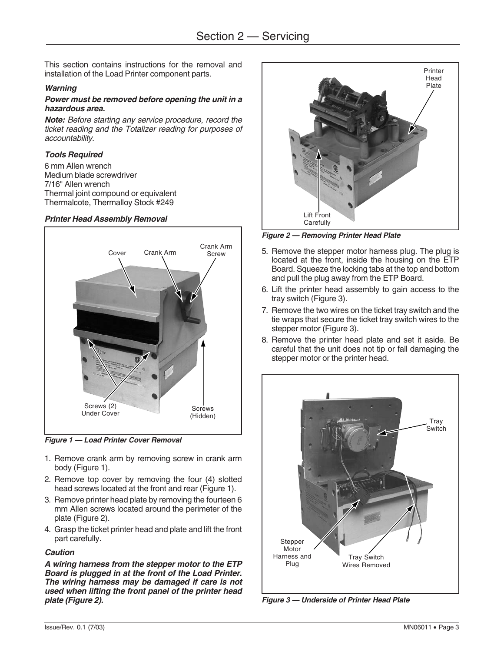This section contains instructions for the removal and installation of the Load Printer component parts.

#### **Warning**

#### **Power must be removed before opening the unit in a hazardous area.**

**Note:** Before starting any service procedure, record the ticket reading and the Totalizer reading for purposes of accountability.

### **Tools Required**

6 mm Allen wrench Medium blade screwdriver 7/16" Allen wrench Thermal joint compound or equivalent Thermalcote, Thermalloy Stock #249

#### **Printer Head Assembly Removal**



**Figure 1 — Load Printer Cover Removal**

- 1. Remove crank arm by removing screw in crank arm body (Figure 1).
- 2. Remove top cover by removing the four (4) slotted head screws located at the front and rear (Figure 1).
- 3. Remove printer head plate by removing the fourteen 6 mm Allen screws located around the perimeter of the plate (Figure 2).
- 4. Grasp the ticket printer head and plate and lift the front part carefully.

### **Caution**

**A wiring harness from the stepper motor to the ETP Board is plugged in at the front of the Load Printer. The wiring harness may be damaged if care is not used when lifting the front panel of the printer head plate (Figure 2).**



**Figure 2 — Removing Printer Head Plate**

- 5. Remove the stepper motor harness plug. The plug is located at the front, inside the housing on the ETP Board. Squeeze the locking tabs at the top and bottom and pull the plug away from the ETP Board.
- 6. Lift the printer head assembly to gain access to the tray switch (Figure 3).
- 7. Remove the two wires on the ticket tray switch and the tie wraps that secure the ticket tray switch wires to the stepper motor (Figure 3).
- 8. Remove the printer head plate and set it aside. Be careful that the unit does not tip or fall damaging the stepper motor or the printer head.



**Figure 3 — Underside of Printer Head Plate**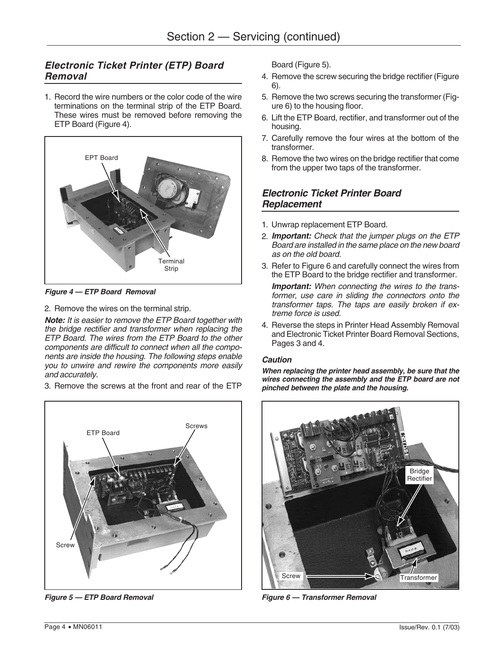# **Electronic Ticket Printer (ETP) Board Removal**

1. Record the wire numbers or the color code of the wire terminations on the terminal strip of the ETP Board. These wires must be removed before removing the ETP Board (Figure 4).



**Figure 4 — ETP Board Removal**

2. Remove the wires on the terminal strip.

**Note:** It is easier to remove the ETP Board together with the bridge rectifier and transformer when replacing the ETP Board. The wires from the ETP Board to the other components are difficult to connect when all the components are inside the housing. The following steps enable you to unwire and rewire the components more easily and accurately.

3. Remove the screws at the front and rear of the ETP



Board (Figure 5).

- 4. Remove the screw securing the bridge rectifier (Figure 6).
- 5. Remove the two screws securing the transformer (Figure 6) to the housing floor.
- 6. Lift the ETP Board, rectifier, and transformer out of the housing.
- 7. Carefully remove the four wires at the bottom of the transformer.
- 8. Remove the two wires on the bridge rectifier that come from the upper two taps of the transformer.

## **Electronic Ticket Printer Board Replacement**

- 1. Unwrap replacement ETP Board.
- 2. **Important:** Check that the jumper plugs on the ETP Board are installed in the same place on the new board as on the old board.
- 3. Refer to Figure 6 and carefully connect the wires from the ETP Board to the bridge rectifier and transformer.

**Important:** When connecting the wires to the transformer, use care in sliding the connectors onto the transformer taps. The taps are easily broken if extreme force is used.

4. Reverse the steps in Printer Head Assembly Removal and Electronic Ticket Printer Board Removal Sections, Pages 3 and 4.

### **Caution**

**When replacing the printer head assembly, be sure that the wires connecting the assembly and the ETP board are not pinched between the plate and the housing.**



**Figure 5 — ETP Board Removal Figure 6 — Transformer Removal**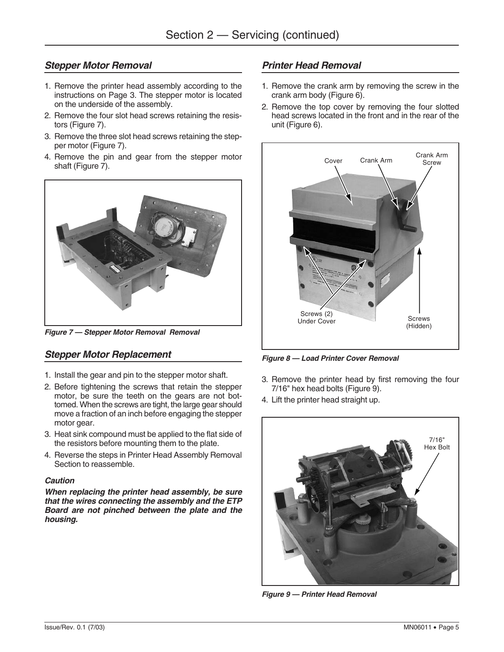## **Stepper Motor Removal**

- 1. Remove the printer head assembly according to the instructions on Page 3. The stepper motor is located on the underside of the assembly.
- 2. Remove the four slot head screws retaining the resistors (Figure 7).
- 3. Remove the three slot head screws retaining the stepper motor (Figure 7).
- 4. Remove the pin and gear from the stepper motor shaft (Figure 7).



**Figure 7 — Stepper Motor Removal Removal**

# **Stepper Motor Replacement**

- 1. Install the gear and pin to the stepper motor shaft.
- 2. Before tightening the screws that retain the stepper motor, be sure the teeth on the gears are not bottomed. When the screws are tight, the large gear should move a fraction of an inch before engaging the stepper motor gear.
- 3. Heat sink compound must be applied to the flat side of the resistors before mounting them to the plate.
- 4. Reverse the steps in Printer Head Assembly Removal Section to reassemble.

### **Caution**

**When replacing the printer head assembly, be sure that the wires connecting the assembly and the ETP Board are not pinched between the plate and the housing.**

# **Printer Head Removal**

- 1. Remove the crank arm by removing the screw in the crank arm body (Figure 6).
- 2. Remove the top cover by removing the four slotted head screws located in the front and in the rear of the unit (Figure 6).



**Figure 8 — Load Printer Cover Removal**

- 3. Remove the printer head by first removing the four 7/16" hex head bolts (Figure 9).
- 4. Lift the printer head straight up.



**Figure 9 — Printer Head Removal**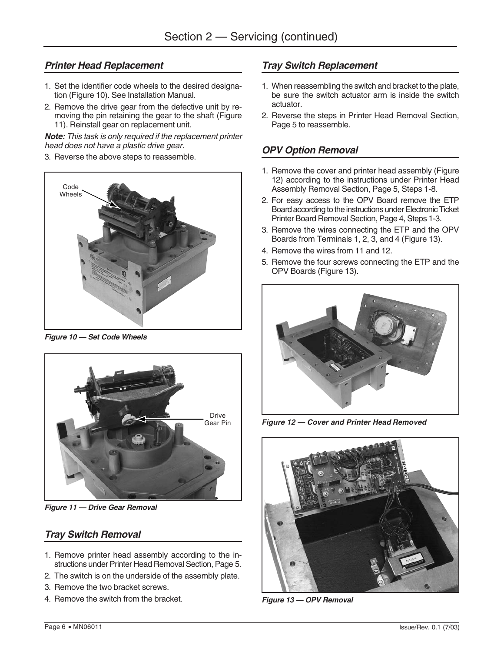## **Printer Head Replacement**

- 1. Set the identifier code wheels to the desired designation (Figure 10). See Installation Manual.
- 2. Remove the drive gear from the defective unit by removing the pin retaining the gear to the shaft (Figure 11). Reinstall gear on replacement unit.

**Note:** This task is only required if the replacement printer head does not have a plastic drive gear.

3. Reverse the above steps to reassemble.



**Figure 10 — Set Code Wheels**



**Figure 11 — Drive Gear Removal**

## **Tray Switch Removal**

- 1. Remove printer head assembly according to the instructions under Printer Head Removal Section, Page 5.
- 2. The switch is on the underside of the assembly plate.
- 3. Remove the two bracket screws.
- 4. Remove the switch from the bracket.

# **Tray Switch Replacement**

- 1. When reassembling the switch and bracket to the plate, be sure the switch actuator arm is inside the switch actuator.
- 2. Reverse the steps in Printer Head Removal Section, Page 5 to reassemble.

# **OPV Option Removal**

- 1. Remove the cover and printer head assembly (Figure 12) according to the instructions under Printer Head Assembly Removal Section, Page 5, Steps 1-8.
- 2. For easy access to the OPV Board remove the ETP Board according to the instructions under Electronic Ticket Printer Board Removal Section, Page 4, Steps 1-3.
- 3. Remove the wires connecting the ETP and the OPV Boards from Terminals 1, 2, 3, and 4 (Figure 13).
- 4. Remove the wires from 11 and 12.
- 5. Remove the four screws connecting the ETP and the OPV Boards (Figure 13).



**Figure 12 — Cover and Printer Head Removed**



**Figure 13 — OPV Removal**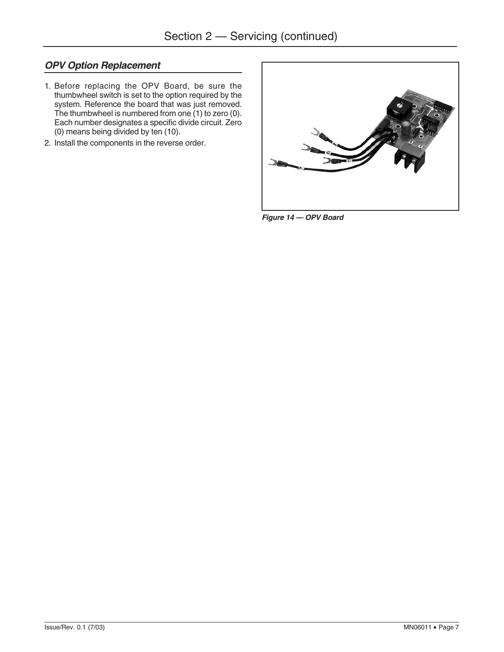# **OPV Option Replacement**

- 1. Before replacing the OPV Board, be sure the thumbwheel switch is set to the option required by the system. Reference the board that was just removed. The thumbwheel is numbered from one (1) to zero (0). Each number designates a specific divide circuit. Zero (0) means being divided by ten (10).
- 2. Install the components in the reverse order.



**Figure 14 — OPV Board**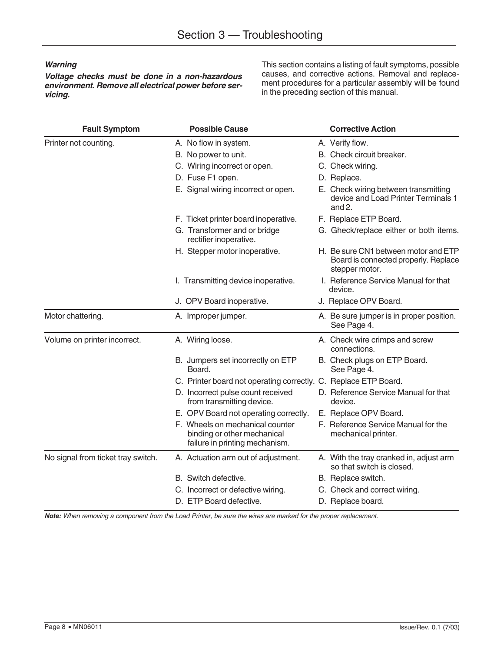### **Warning**

**Voltage checks must be done in a non-hazardous environment. Remove all electrical power before servicing.**

This section contains a listing of fault symptoms, possible causes, and corrective actions. Removal and replacement procedures for a particular assembly will be found in the preceding section of this manual.

| <b>Fault Symptom</b>               | <b>Possible Cause</b>                                                                            | <b>Corrective Action</b>                                                                       |
|------------------------------------|--------------------------------------------------------------------------------------------------|------------------------------------------------------------------------------------------------|
| Printer not counting.              | A. No flow in system.                                                                            | A. Verify flow.                                                                                |
|                                    | B. No power to unit.                                                                             | B. Check circuit breaker.                                                                      |
|                                    | C. Wiring incorrect or open.                                                                     | C. Check wiring.                                                                               |
|                                    | D. Fuse F1 open.                                                                                 | D. Replace.                                                                                    |
|                                    | E. Signal wiring incorrect or open.                                                              | E. Check wiring between transmitting<br>device and Load Printer Terminals 1<br>and $2.$        |
|                                    | F. Ticket printer board inoperative.                                                             | F. Replace ETP Board.                                                                          |
|                                    | G. Transformer and or bridge<br>rectifier inoperative.                                           | G. Gheck/replace either or both items.                                                         |
|                                    | H. Stepper motor inoperative.                                                                    | H. Be sure CN1 between motor and ETP<br>Board is connected properly. Replace<br>stepper motor. |
|                                    | I. Transmitting device inoperative.                                                              | I. Reference Service Manual for that<br>device.                                                |
|                                    | J. OPV Board inoperative.                                                                        | J. Replace OPV Board.                                                                          |
| Motor chattering.                  | A. Improper jumper.                                                                              | A. Be sure jumper is in proper position.<br>See Page 4.                                        |
| Volume on printer incorrect.       | A. Wiring loose.                                                                                 | A. Check wire crimps and screw<br>connections.                                                 |
|                                    | B. Jumpers set incorrectly on ETP<br>Board.                                                      | B. Check plugs on ETP Board.<br>See Page 4.                                                    |
|                                    | C. Printer board not operating correctly. C. Replace ETP Board.                                  |                                                                                                |
|                                    | D. Incorrect pulse count received<br>from transmitting device.                                   | D. Reference Service Manual for that<br>device.                                                |
|                                    | E. OPV Board not operating correctly.                                                            | E. Replace OPV Board.                                                                          |
|                                    | F. Wheels on mechanical counter<br>binding or other mechanical<br>failure in printing mechanism. | F. Reference Service Manual for the<br>mechanical printer.                                     |
| No signal from ticket tray switch. | A. Actuation arm out of adjustment.                                                              | A. With the tray cranked in, adjust arm<br>so that switch is closed.                           |
|                                    | B. Switch defective.                                                                             | B. Replace switch.                                                                             |
|                                    | C. Incorrect or defective wiring.                                                                | C. Check and correct wiring.                                                                   |
|                                    | D. ETP Board defective.                                                                          | D. Replace board.                                                                              |

**Note:** When removing a component from the Load Printer, be sure the wires are marked for the proper replacement.